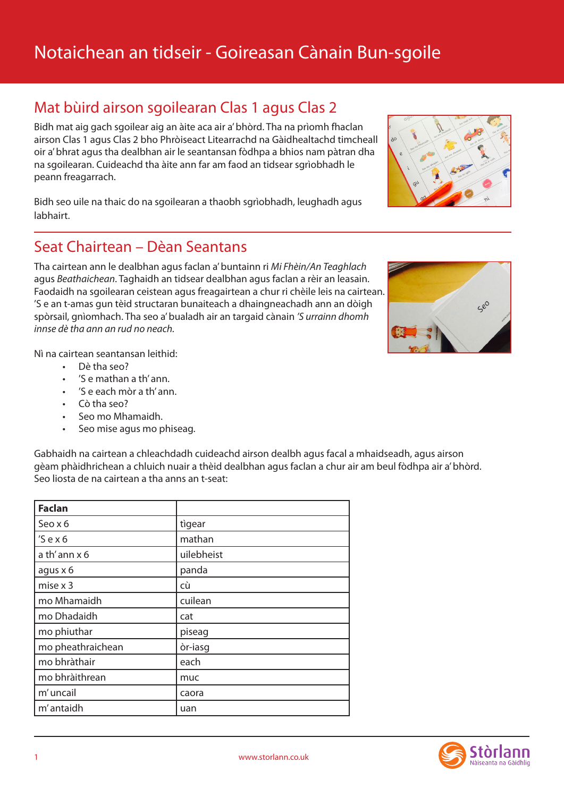# Notaichean an tidseir - Goireasan Cànain Bun-sgoile

## Mat bùird airson sgoilearan Clas 1 agus Clas 2

Bidh mat aig gach sgoilear aig an àite aca air a' bhòrd. Tha na prìomh fhaclan airson Clas 1 agus Clas 2 bho Phròiseact Litearrachd na Gàidhealtachd timcheall oir a' bhrat agus tha dealbhan air le seantansan fòdhpa a bhios nam pàtran dha na sgoilearan. Cuideachd tha àite ann far am faod an tidsear sgrìobhadh le peann freagarrach.

Bidh seo uile na thaic do na sgoilearan a thaobh sgrìobhadh, leughadh agus labhairt.

### Seat Chairtean – Dèan Seantans

Tha cairtean ann le dealbhan agus faclan a' buntainn ri *Mi Fhèin/An Teaghlach* agus *Beathaichean*. Taghaidh an tidsear dealbhan agus faclan a rèir an leasain. Faodaidh na sgoilearan ceistean agus freagairtean a chur ri chèile leis na cairtean. 'S e an t-amas gun tèid structaran bunaiteach a dhaingneachadh ann an dòigh spòrsail, gnìomhach. Tha seo a' bualadh air an targaid cànain *'S urrainn dhomh innse dè tha ann an rud no neach.*

Nì na cairtean seantansan leithid:

- • Dè tha seo?
- 'S e mathan a th' ann.
- $\dot{ }$  'S e each mòr a th' ann.
- Cò tha seo?
- • Seo mo Mhamaidh.
- Seo mise agus mo phiseag.

Gabhaidh na cairtean a chleachdadh cuideachd airson dealbh agus facal a mhaidseadh, agus airson gèam phàidhrichean a chluich nuair a thèid dealbhan agus faclan a chur air am beul fòdhpa air a' bhòrd. Seo liosta de na cairtean a tha anns an t-seat:

| <b>Faclan</b>     |            |
|-------------------|------------|
| Seo x 6           | tigear     |
| $'S$ ex $6$       | mathan     |
| a th' ann x 6     | uilebheist |
| agus x 6          | panda      |
| mise $x$ 3        | cù         |
| mo Mhamaidh       | cuilean    |
| mo Dhadaidh       | cat        |
| mo phiuthar       | piseag     |
| mo pheathraichean | òr-iasg    |
| mo bhràthair      | each       |
| mo bhràithrean    | muc        |
| m' uncail         | caora      |
| m' antaidh        | uan        |





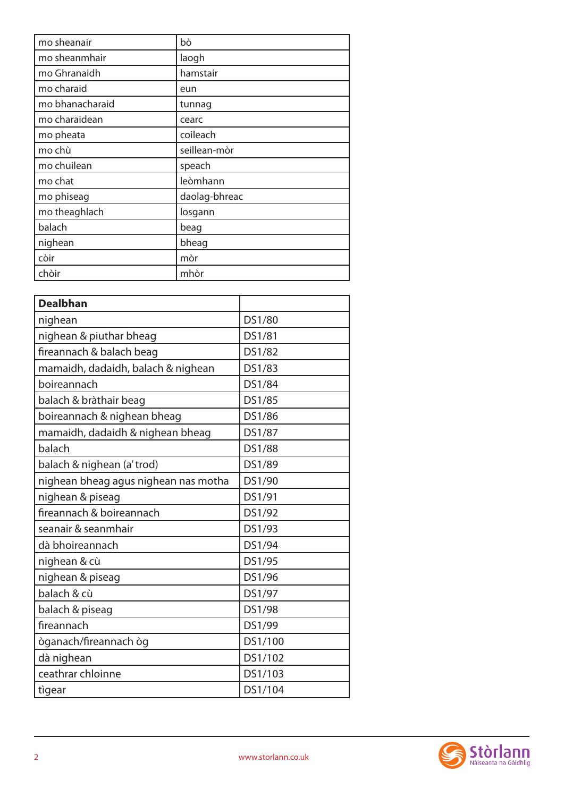| mo sheanair     | bò            |
|-----------------|---------------|
| mo sheanmhair   | laogh         |
| mo Ghranaidh    | hamstair      |
| mo charaid      | eun           |
| mo bhanacharaid | tunnag        |
| mo charaidean   | cearc         |
| mo pheata       | coileach      |
| mo chù          | seillean-mòr  |
| mo chuilean     | speach        |
| mo chat         | leòmhann      |
| mo phiseag      | daolag-bhreac |
| mo theaghlach   | losgann       |
| balach          | beag          |
| nighean         | bheag         |
| còir            | mòr           |
| chòir           | mhòr          |

| DS1/80  |  |  |  |
|---------|--|--|--|
| DS1/81  |  |  |  |
| DS1/82  |  |  |  |
| DS1/83  |  |  |  |
| DS1/84  |  |  |  |
| DS1/85  |  |  |  |
| DS1/86  |  |  |  |
| DS1/87  |  |  |  |
| DS1/88  |  |  |  |
| DS1/89  |  |  |  |
| DS1/90  |  |  |  |
| DS1/91  |  |  |  |
| DS1/92  |  |  |  |
| DS1/93  |  |  |  |
| DS1/94  |  |  |  |
| DS1/95  |  |  |  |
| DS1/96  |  |  |  |
| DS1/97  |  |  |  |
| DS1/98  |  |  |  |
| DS1/99  |  |  |  |
| DS1/100 |  |  |  |
| DS1/102 |  |  |  |
| DS1/103 |  |  |  |
| DS1/104 |  |  |  |
|         |  |  |  |

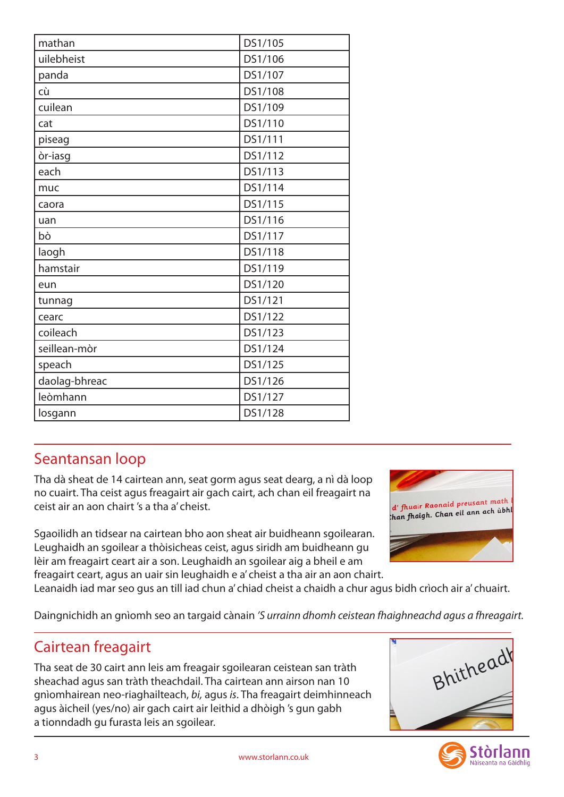| mathan        | DS1/105 |
|---------------|---------|
| uilebheist    | DS1/106 |
| panda         | DS1/107 |
| cù            | DS1/108 |
| cuilean       | DS1/109 |
| cat           | DS1/110 |
| piseag        | DS1/111 |
| òr-iasg       | DS1/112 |
| each          | DS1/113 |
| muc           | DS1/114 |
| caora         | DS1/115 |
| uan           | DS1/116 |
| bò            | DS1/117 |
| laogh         | DS1/118 |
| hamstair      | DS1/119 |
| eun           | DS1/120 |
| tunnag        | DS1/121 |
| cearc         | DS1/122 |
| coileach      | DS1/123 |
| seillean-mòr  | DS1/124 |
| speach        | DS1/125 |
| daolag-bhreac | DS1/126 |
| leòmhann      | DS1/127 |
| losgann       | DS1/128 |

## Seantansan loop

Tha dà sheat de 14 cairtean ann, seat gorm agus seat dearg, a nì dà loop no cuairt. Tha ceist agus freagairt air gach cairt, ach chan eil freagairt na ceist air an aon chairt 's a tha a' cheist.

Sgaoilidh an tidsear na cairtean bho aon sheat air buidheann sgoilearan. Leughaidh an sgoilear a thòisicheas ceist, agus siridh am buidheann gu lèir am freagairt ceart air a son. Leughaidh an sgoilear aig a bheil e am freagairt ceart, agus an uair sin leughaidh e a' cheist a tha air an aon chairt.



Leanaidh iad mar seo gus an till iad chun a' chiad cheist a chaidh a chur agus bidh crìoch air a' chuairt.

Daingnichidh an gnìomh seo an targaid cànain *'S urrainn dhomh ceistean fhaighneachd agus a fhreagairt.*

## Cairtean freagairt

Tha seat de 30 cairt ann leis am freagair sgoilearan ceistean san tràth sheachad agus san tràth theachdail. Tha cairtean ann airson nan 10 gnìomhairean neo-riaghailteach, *bi,* agus *is*. Tha freagairt deimhinneach agus àicheil (yes/no) air gach cairt air leithid a dhòigh 's gun gabh a tionndadh gu furasta leis an sgoilear.



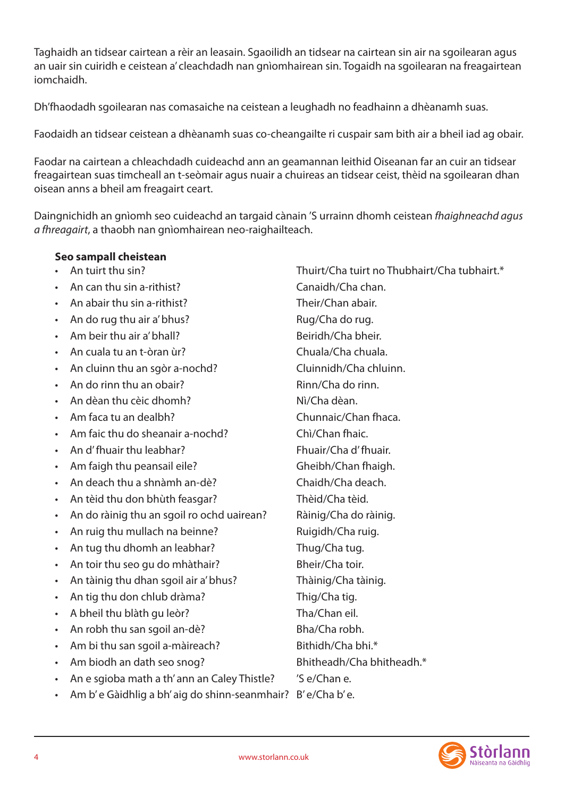Taghaidh an tidsear cairtean a rèir an leasain. Sgaoilidh an tidsear na cairtean sin air na sgoilearan agus an uair sin cuiridh e ceistean a' cleachdadh nan gnìomhairean sin. Togaidh na sgoilearan na freagairtean iomchaidh.

Dh'fhaodadh sgoilearan nas comasaiche na ceistean a leughadh no feadhainn a dhèanamh suas.

Faodaidh an tidsear ceistean a dhèanamh suas co-cheangailte ri cuspair sam bith air a bheil iad ag obair.

Faodar na cairtean a chleachdadh cuideachd ann an geamannan leithid Oiseanan far an cuir an tidsear freagairtean suas timcheall an t-seòmair agus nuair a chuireas an tidsear ceist, thèid na sgoilearan dhan oisean anns a bheil am freagairt ceart.

Daingnichidh an gnìomh seo cuideachd an targaid cànain 'S urrainn dhomh ceistean *fhaighneachd agus a fhreagairt*, a thaobh nan gnìomhairean neo-raighailteach.

#### **Seo sampall cheistean**

- 
- An can thu sin a-rithist? Canaidh/Cha chan.
- An abair thu sin a-rithist? Their/Chan abair.
- An do rug thu air a' bhus? Rug/Cha do rug.
- Am beir thu air a' bhall? Beiridh/Cha bheir.
- • An cuala tu an t-òran ùr? Chuala/Cha chuala.
- An cluinn thu an sgòr a-nochd? Cluinnidh/Cha chluinn.
- An do rinn thu an obair? The Contract Rinn/Cha do rinn.
- • An dèan thu cèic dhomh? Nì/Cha dèan.
- Am faca tu an dealbh? Chunnaic/Chan fhaca.
- • Am faic thu do sheanair a-nochd? Chì/Chan fhaic.
- • An d'fhuair thu leabhar? Fhuair/Cha d'fhuair.
- Am faigh thu peansail eile? Gheibh/Chan fhaigh.
- • An deach thu a shnàmh an-dè? Chaidh/Cha deach.
- An tèid thu don bhùth feasgar? Thèid/Cha tèid.
- An do ràinig thu an sgoil ro ochd uairean? Bàinig/Cha do ràinig.
- An ruig thu mullach na beinne? Ruigidh/Cha ruig.
- An tug thu dhomh an leabhar? Thug/Cha tug.
- An toir thu seo gu do mhàthair? Bheir/Cha toir.
- An tàinig thu dhan sgoil air a' bhus? Thàinig/Cha tàinig.
- An tig thu don chlub dràma? Thig/Cha tig.
- A bheil thu blàth gu leòr? Tha/Chan eil.
- An robh thu san sgoil an-dè? Bha/Cha robh.
- Am bi thu san sgoil a-màireach? Bithidh/Cha bhi.\*
- Am biodh an dath seo snog? Bhitheadh/Cha bhitheadh.\*
- An e sgioba math a th' ann an Caley Thistle? 'S e/Chan e.
- • Am b' e Gàidhlig a bh' aig do shinn-seanmhair? B' e/Cha b' e.

• An tuirt thu sin? Thuirt/Cha tuirt no Thubhairt/Cha tubhairt.\*

Stòrlann Nàiseanta na Gàidhlig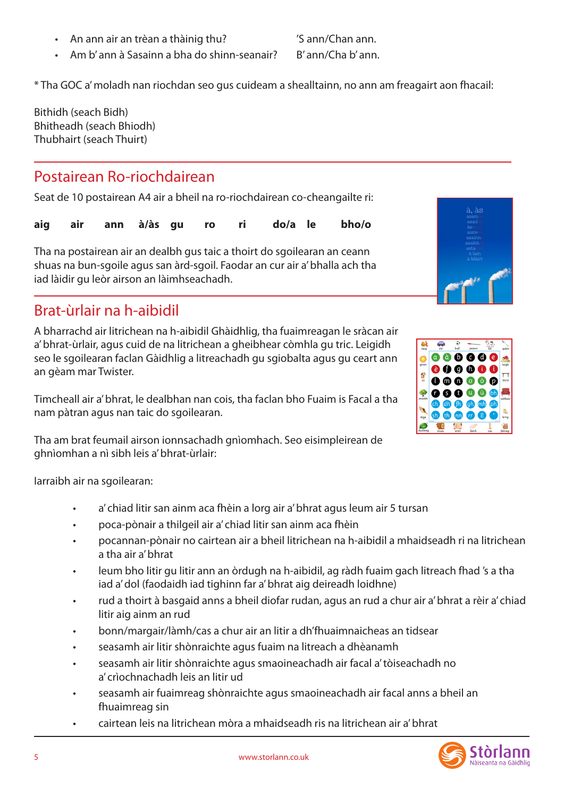• An ann air an trèan a thàinig thu? 'S ann/Chan ann.

• Am b' ann à Sasainn a bha do shinn-seanair? B' ann/Cha b' ann.

\* Tha GOC a'moladh nan riochdan seo gus cuideam a shealltainn, no ann am freagairt aon fhacail:

Bithidh (seach Bidh) Bhitheadh (seach Bhiodh) Thubhairt (seach Thuirt)

#### Postairean Ro-riochdairean

Seat de 10 postairean A4 air a bheil na ro-riochdairean co-cheangailte ri:

|  | aig air ann à/às gu ro ri do/a le bho/o |  |  |  |  |  |  |  |
|--|-----------------------------------------|--|--|--|--|--|--|--|
|--|-----------------------------------------|--|--|--|--|--|--|--|

Tha na postairean air an dealbh gus taic a thoirt do sgoilearan an ceann shuas na bun-sgoile agus san àrd-sgoil. Faodar an cur air a' bhalla ach tha iad làidir gu leòr airson an làimhseachadh.

## Brat-ùrlair na h-aibidil

A bharrachd air litrichean na h-aibidil Ghàidhlig, tha fuaimreagan le sràcan air a' bhrat-ùrlair, agus cuid de na litrichean a gheibhear còmhla gu tric. Leigidh seo le sgoilearan faclan Gàidhlig a litreachadh gu sgiobalta agus gu ceart ann an gèam mar Twister.

Timcheall air a' bhrat, le dealbhan nan cois, tha faclan bho Fuaim is Facal a tha nam pàtran agus nan taic do sgoilearan.

Tha am brat feumail airson ionnsachadh gnìomhach. Seo eisimpleirean de ghnìomhan a nì sibh leis a' bhrat-ùrlair:

Iarraibh air na sgoilearan:

- a' chiad litir san ainm aca fhèin a lorg air a' bhrat agus leum air 5 tursan
- poca-pònair a thilgeil air a' chiad litir san ainm aca fhèin
- • pocannan-pònair no cairtean air a bheil litrichean na h-aibidil a mhaidseadh ri na litrichean a tha air a' bhrat
- leum bho litir gu litir ann an òrdugh na h-aibidil, ag ràdh fuaim gach litreach fhad 's a tha iad a' dol (faodaidh iad tighinn far a' bhrat aig deireadh loidhne)
- rud a thoirt à basgaid anns a bheil diofar rudan, agus an rud a chur air a' bhrat a rèir a' chiad litir aig ainm an rud
- bonn/margair/làmh/cas a chur air an litir a dh'fhuaimnaicheas an tidsear
- seasamh air litir shònraichte agus fuaim na litreach a dhèanamh
- seasamh air litir shònraichte agus smaoineachadh air facal a' tòiseachadh no a' crìochnachadh leis an litir ud
- seasamh air fuaimreag shònraichte agus smaoineachadh air facal anns a bheil an fhuaimreag sin
- • cairtean leis na litrichean mòra a mhaidseadh ris na litrichean air a'bhrat